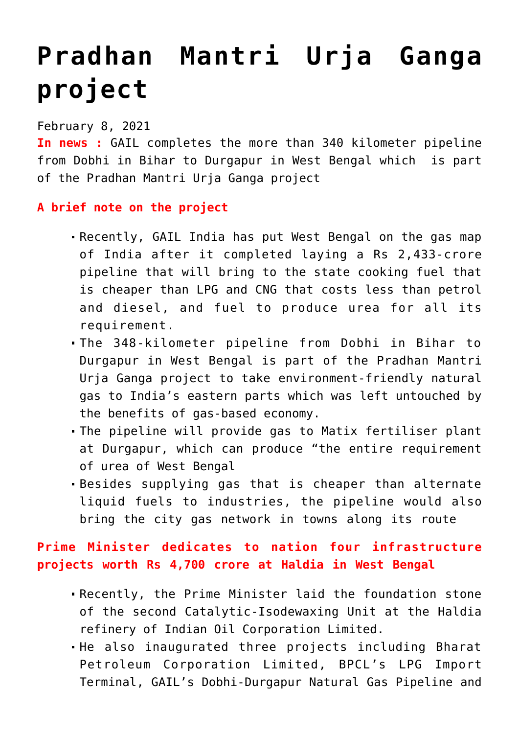# **[Pradhan Mantri Urja Ganga](https://journalsofindia.com/pradhan-mantri-urja-ganga-project/) [project](https://journalsofindia.com/pradhan-mantri-urja-ganga-project/)**

#### February 8, 2021

**In news :** GAIL completes the more than 340 kilometer pipeline from Dobhi in Bihar to Durgapur in West Bengal which is part of the Pradhan Mantri Urja Ganga project

### **A brief note on the project**

- Recently, GAIL India has put West Bengal on the gas map of India after it completed laying a Rs 2,433-crore pipeline that will bring to the state cooking fuel that is cheaper than LPG and CNG that costs less than petrol and diesel, and fuel to produce urea for all its requirement.
- The 348-kilometer pipeline from Dobhi in Bihar to Durgapur in West Bengal is part of the Pradhan Mantri Urja Ganga project to take environment-friendly natural gas to India's eastern parts which was left untouched by the benefits of gas-based economy.
- The pipeline will provide gas to Matix fertiliser plant at Durgapur, which can produce "the entire requirement of urea of West Bengal
- Besides supplying gas that is cheaper than alternate liquid fuels to industries, the pipeline would also bring the city gas network in towns along its route

## **Prime Minister dedicates to nation four infrastructure projects worth Rs 4,700 crore at Haldia in West Bengal**

- Recently, the Prime Minister laid the foundation stone of the second Catalytic-Isodewaxing Unit at the Haldia refinery of Indian Oil Corporation Limited.
- He also inaugurated three projects including Bharat Petroleum Corporation Limited, BPCL's LPG Import Terminal, GAIL's Dobhi-Durgapur Natural Gas Pipeline and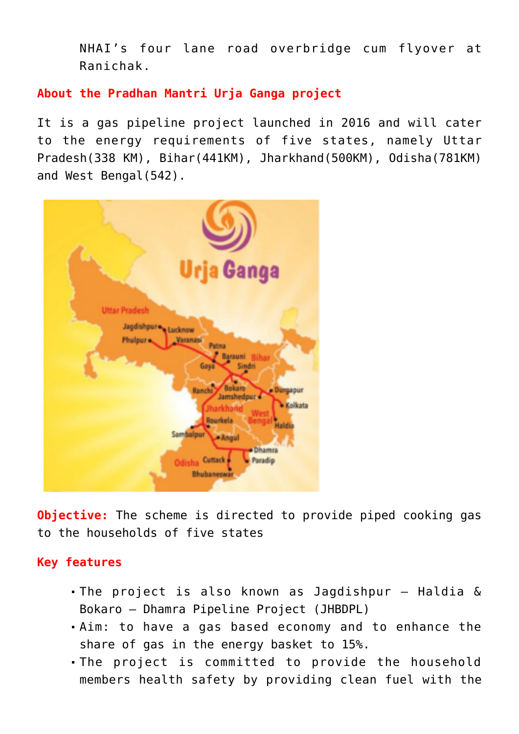NHAI's four lane road overbridge cum flyover at Ranichak.

**About the Pradhan Mantri Urja Ganga project** 

It is a gas pipeline project launched in 2016 and will cater to the energy requirements of five states, namely Uttar Pradesh(338 KM), Bihar(441KM), Jharkhand(500KM), Odisha(781KM) and West Bengal(542).



**Objective:** The scheme is directed to provide piped cooking gas to the households of five states

#### **Key features**

- The project is also known as Jagdishpur Haldia & Bokaro – Dhamra Pipeline Project (JHBDPL)
- Aim: to have a gas based economy and to enhance the share of gas in the energy basket to 15%.
- The project is committed to provide the household members health safety by providing clean fuel with the